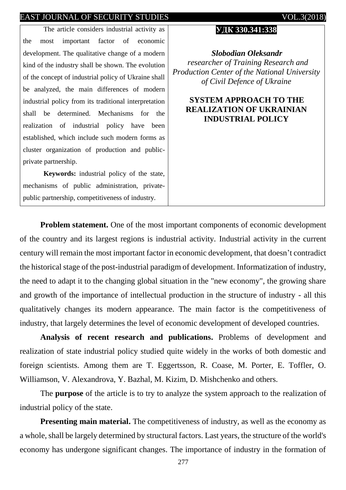The article considers industrial activity as the most important factor of economic development. The qualitative change of a modern kind of the industry shall be shown. The evolution of the concept of industrial policy of Ukraine shall be analyzed, the main differences of modern industrial policy from its traditional interpretation shall be determined. Mechanisms for the realization of industrial policy have been established, which include such modern forms as cluster organization of production and publicprivate partnership.

**Keywords:** industrial policy of the state, mechanisms of public administration, privatepublic partnership, competitiveness of industry.

#### **УДК 330.341:338**

*Slobodian Oleksandr researcher of Training Research and Production Center of the National University of Civil Defence of Ukraine*

# **SYSTEM APPROACH TO THE REALIZATION OF UKRAINIAN INDUSTRIAL POLICY**

**Problem statement.** One of the most important components of economic development of the country and its largest regions is industrial activity. Industrial activity in the current century will remain the most important factor in economic development, that doesn't contradict the historical stage of the post-industrial paradigm of development. Informatization of industry, the need to adapt it to the changing global situation in the "new economy", the growing share and growth of the importance of intellectual production in the structure of industry - all this qualitatively changes its modern appearance. The main factor is the competitiveness of industry, that largely determines the level of economic development of developed countries.

**Analysis of recent research and publications.** Problems of development and realization of state industrial policy studied quite widely in the works of both domestic and foreign scientists. Among them are T. Eggertsson, R. Coase, M. Porter, E. Toffler, O. Williamson, V. Alexandrova, Y. Bazhal, M. Kizim, D. Mishchenko and others.

The **purpose** of the article is to try to analyze the system approach to the realization of industrial policy of the state.

**Presenting main material.** The competitiveness of industry, as well as the economy as a whole, shall be largely determined by structural factors. Last years, the structure of the world's economy has undergone significant changes. The importance of industry in the formation of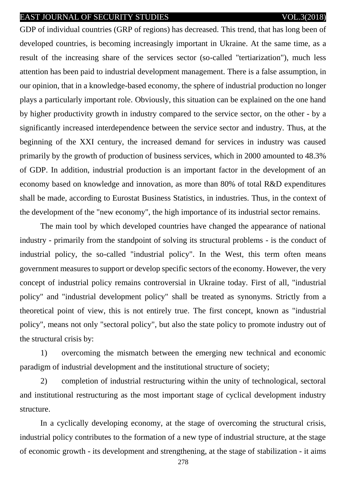GDP of individual countries (GRP of regions) has decreased. This trend, that has long been of developed countries, is becoming increasingly important in Ukraine. At the same time, as a result of the increasing share of the services sector (so-called "tertiarization"), much less attention has been paid to industrial development management. There is a false assumption, in our opinion, that in a knowledge-based economy, the sphere of industrial production no longer plays a particularly important role. Obviously, this situation can be explained on the one hand by higher productivity growth in industry compared to the service sector, on the other - by a significantly increased interdependence between the service sector and industry. Thus, at the beginning of the XXI century, the increased demand for services in industry was caused primarily by the growth of production of business services, which in 2000 amounted to 48.3% of GDP. In addition, industrial production is an important factor in the development of an economy based on knowledge and innovation, as more than 80% of total R&D expenditures shall be made, according to Eurostat Business Statistics, in industries. Thus, in the context of the development of the "new economy", the high importance of its industrial sector remains.

The main tool by which developed countries have changed the appearance of national industry - primarily from the standpoint of solving its structural problems - is the conduct of industrial policy, the so-called "industrial policy". In the West, this term often means government measures to support or develop specific sectors of the economy. However, the very concept of industrial policy remains controversial in Ukraine today. First of all, "industrial policy" and "industrial development policy" shall be treated as synonyms. Strictly from a theoretical point of view, this is not entirely true. The first concept, known as "industrial policy", means not only "sectoral policy", but also the state policy to promote industry out of the structural crisis by:

1) overcoming the mismatch between the emerging new technical and economic paradigm of industrial development and the institutional structure of society;

2) completion of industrial restructuring within the unity of technological, sectoral and institutional restructuring as the most important stage of cyclical development industry structure.

In a cyclically developing economy, at the stage of overcoming the structural crisis, industrial policy contributes to the formation of a new type of industrial structure, at the stage of economic growth - its development and strengthening, at the stage of stabilization - it aims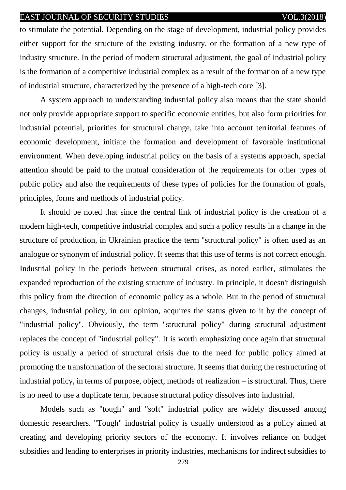to stimulate the potential. Depending on the stage of development, industrial policy provides either support for the structure of the existing industry, or the formation of a new type of industry structure. In the period of modern structural adjustment, the goal of industrial policy is the formation of a competitive industrial complex as a result of the formation of a new type of industrial structure, characterized by the presence of a high-tech core [3].

A system approach to understanding industrial policy also means that the state should not only provide appropriate support to specific economic entities, but also form priorities for industrial potential, priorities for structural change, take into account territorial features of economic development, initiate the formation and development of favorable institutional environment. When developing industrial policy on the basis of a systems approach, special attention should be paid to the mutual consideration of the requirements for other types of public policy and also the requirements of these types of policies for the formation of goals, principles, forms and methods of industrial policy.

It should be noted that since the central link of industrial policy is the creation of a modern high-tech, competitive industrial complex and such a policy results in a change in the structure of production, in Ukrainian practice the term "structural policy" is often used as an analogue or synonym of industrial policy. It seems that this use of terms is not correct enough. Industrial policy in the periods between structural crises, as noted earlier, stimulates the expanded reproduction of the existing structure of industry. In principle, it doesn't distinguish this policy from the direction of economic policy as a whole. But in the period of structural changes, industrial policy, in our opinion, acquires the status given to it by the concept of "industrial policy". Obviously, the term "structural policy" during structural adjustment replaces the concept of "industrial policy". It is worth emphasizing once again that structural policy is usually a period of structural crisis due to the need for public policy aimed at promoting the transformation of the sectoral structure. It seems that during the restructuring of industrial policy, in terms of purpose, object, methods of realization – is structural. Thus, there is no need to use a duplicate term, because structural policy dissolves into industrial.

Models such as "tough" and "soft" industrial policy are widely discussed among domestic researchers. "Tough" industrial policy is usually understood as a policy aimed at creating and developing priority sectors of the economy. It involves reliance on budget subsidies and lending to enterprises in priority industries, mechanisms for indirect subsidies to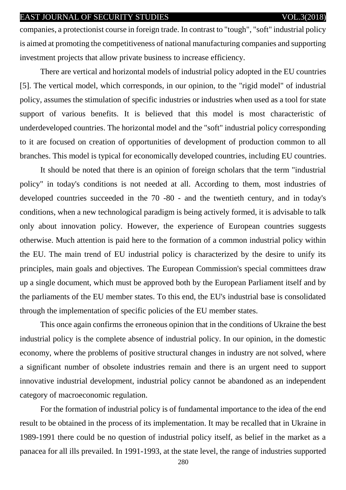companies, a protectionist course in foreign trade. In contrast to "tough", "soft" industrial policy is aimed at promoting the competitiveness of national manufacturing companies and supporting investment projects that allow private business to increase efficiency.

There are vertical and horizontal models of industrial policy adopted in the EU countries [5]. The vertical model, which corresponds, in our opinion, to the "rigid model" of industrial policy, assumes the stimulation of specific industries or industries when used as a tool for state support of various benefits. It is believed that this model is most characteristic of underdeveloped countries. The horizontal model and the "soft" industrial policy corresponding to it are focused on creation of opportunities of development of production common to all branches. This model is typical for economically developed countries, including EU countries.

It should be noted that there is an opinion of foreign scholars that the term "industrial policy" in today's conditions is not needed at all. According to them, most industries of developed countries succeeded in the 70 -80 - and the twentieth century, and in today's conditions, when a new technological paradigm is being actively formed, it is advisable to talk only about innovation policy. However, the experience of European countries suggests otherwise. Much attention is paid here to the formation of a common industrial policy within the EU. The main trend of EU industrial policy is characterized by the desire to unify its principles, main goals and objectives. The European Commission's special committees draw up a single document, which must be approved both by the European Parliament itself and by the parliaments of the EU member states. To this end, the EU's industrial base is consolidated through the implementation of specific policies of the EU member states.

This once again confirms the erroneous opinion that in the conditions of Ukraine the best industrial policy is the complete absence of industrial policy. In our opinion, in the domestic economy, where the problems of positive structural changes in industry are not solved, where a significant number of obsolete industries remain and there is an urgent need to support innovative industrial development, industrial policy cannot be abandoned as an independent category of macroeconomic regulation.

For the formation of industrial policy is of fundamental importance to the idea of the end result to be obtained in the process of its implementation. It may be recalled that in Ukraine in 1989-1991 there could be no question of industrial policy itself, as belief in the market as a panacea for all ills prevailed. In 1991-1993, at the state level, the range of industries supported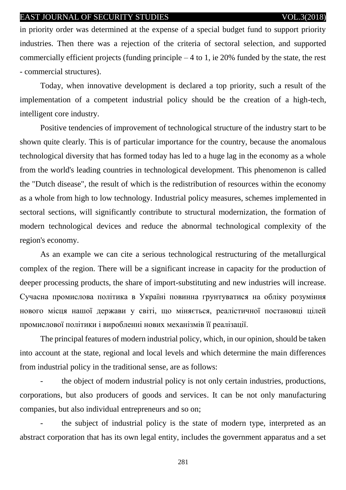in priority order was determined at the expense of a special budget fund to support priority industries. Then there was a rejection of the criteria of sectoral selection, and supported commercially efficient projects (funding principle  $-4$  to 1, ie 20% funded by the state, the rest - commercial structures).

Today, when innovative development is declared a top priority, such a result of the implementation of a competent industrial policy should be the creation of a high-tech, intelligent core industry.

Positive tendencies of improvement of technological structure of the industry start to be shown quite clearly. This is of particular importance for the country, because the anomalous technological diversity that has formed today has led to a huge lag in the economy as a whole from the world's leading countries in technological development. This phenomenon is called the "Dutch disease", the result of which is the redistribution of resources within the economy as a whole from high to low technology. Industrial policy measures, schemes implemented in sectoral sections, will significantly contribute to structural modernization, the formation of modern technological devices and reduce the abnormal technological complexity of the region's economy.

As an example we can cite a serious technological restructuring of the metallurgical complex of the region. There will be a significant increase in capacity for the production of deeper processing products, the share of import-substituting and new industries will increase. Сучасна промислова політика в Україні повинна грунтуватися на обліку розуміння нового місця нашої держави у світі, що міняється, реалістичної постановці цілей промислової політики і виробленні нових механізмів її реалізації.

The principal features of modern industrial policy, which, in our opinion, should be taken into account at the state, regional and local levels and which determine the main differences from industrial policy in the traditional sense, are as follows:

the object of modern industrial policy is not only certain industries, productions, corporations, but also producers of goods and services. It can be not only manufacturing companies, but also individual entrepreneurs and so on;

the subject of industrial policy is the state of modern type, interpreted as an abstract corporation that has its own legal entity, includes the government apparatus and a set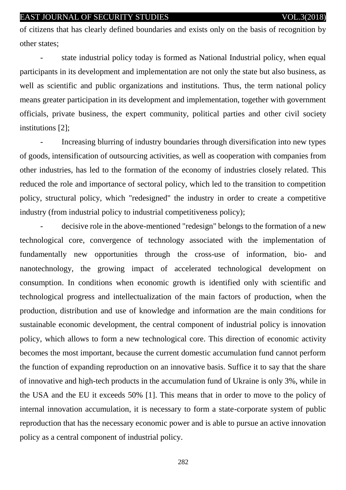of citizens that has clearly defined boundaries and exists only on the basis of recognition by other states;

state industrial policy today is formed as National Industrial policy, when equal participants in its development and implementation are not only the state but also business, as well as scientific and public organizations and institutions. Thus, the term national policy means greater participation in its development and implementation, together with government officials, private business, the expert community, political parties and other civil society institutions [2];

- Increasing blurring of industry boundaries through diversification into new types of goods, intensification of outsourcing activities, as well as cooperation with companies from other industries, has led to the formation of the economy of industries closely related. This reduced the role and importance of sectoral policy, which led to the transition to competition policy, structural policy, which "redesigned" the industry in order to create a competitive industry (from industrial policy to industrial competitiveness policy);

- decisive role in the above-mentioned "redesign" belongs to the formation of a new technological core, convergence of technology associated with the implementation of fundamentally new opportunities through the cross-use of information, bio- and nanotechnology, the growing impact of accelerated technological development on consumption. In conditions when economic growth is identified only with scientific and technological progress and intellectualization of the main factors of production, when the production, distribution and use of knowledge and information are the main conditions for sustainable economic development, the central component of industrial policy is innovation policy, which allows to form a new technological core. This direction of economic activity becomes the most important, because the current domestic accumulation fund cannot perform the function of expanding reproduction on an innovative basis. Suffice it to say that the share of innovative and high-tech products in the accumulation fund of Ukraine is only 3%, while in the USA and the EU it exceeds 50% [1]. This means that in order to move to the policy of internal innovation accumulation, it is necessary to form a state-corporate system of public reproduction that has the necessary economic power and is able to pursue an active innovation policy as a central component of industrial policy.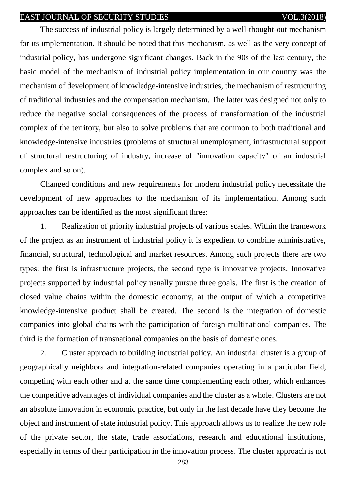The success of industrial policy is largely determined by a well-thought-out mechanism for its implementation. It should be noted that this mechanism, as well as the very concept of industrial policy, has undergone significant changes. Back in the 90s of the last century, the basic model of the mechanism of industrial policy implementation in our country was the mechanism of development of knowledge-intensive industries, the mechanism of restructuring of traditional industries and the compensation mechanism. The latter was designed not only to reduce the negative social consequences of the process of transformation of the industrial complex of the territory, but also to solve problems that are common to both traditional and knowledge-intensive industries (problems of structural unemployment, infrastructural support of structural restructuring of industry, increase of "innovation capacity" of an industrial complex and so on).

Changed conditions and new requirements for modern industrial policy necessitate the development of new approaches to the mechanism of its implementation. Among such approaches can be identified as the most significant three:

1. Realization of priority industrial projects of various scales. Within the framework of the project as an instrument of industrial policy it is expedient to combine administrative, financial, structural, technological and market resources. Among such projects there are two types: the first is infrastructure projects, the second type is innovative projects. Innovative projects supported by industrial policy usually pursue three goals. The first is the creation of closed value chains within the domestic economy, at the output of which a competitive knowledge-intensive product shall be created. The second is the integration of domestic companies into global chains with the participation of foreign multinational companies. The third is the formation of transnational companies on the basis of domestic ones.

2. Cluster approach to building industrial policy. An industrial cluster is a group of geographically neighbors and integration-related companies operating in a particular field, competing with each other and at the same time complementing each other, which enhances the competitive advantages of individual companies and the cluster as a whole. Clusters are not an absolute innovation in economic practice, but only in the last decade have they become the object and instrument of state industrial policy. This approach allows us to realize the new role of the private sector, the state, trade associations, research and educational institutions, especially in terms of their participation in the innovation process. The cluster approach is not

283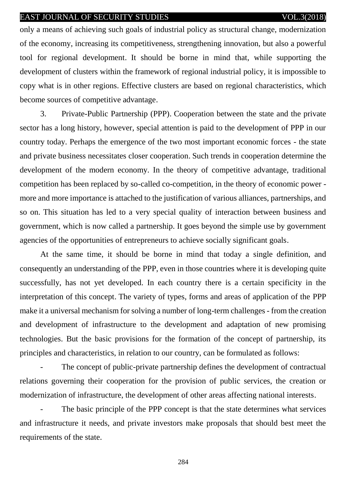only a means of achieving such goals of industrial policy as structural change, modernization of the economy, increasing its competitiveness, strengthening innovation, but also a powerful tool for regional development. It should be borne in mind that, while supporting the development of clusters within the framework of regional industrial policy, it is impossible to copy what is in other regions. Effective clusters are based on regional characteristics, which become sources of competitive advantage.

3. Private-Public Partnership (PPP). Cooperation between the state and the private sector has a long history, however, special attention is paid to the development of PPP in our country today. Perhaps the emergence of the two most important economic forces - the state and private business necessitates closer cooperation. Such trends in cooperation determine the development of the modern economy. In the theory of competitive advantage, traditional competition has been replaced by so-called co-competition, in the theory of economic power more and more importance is attached to the justification of various alliances, partnerships, and so on. This situation has led to a very special quality of interaction between business and government, which is now called a partnership. It goes beyond the simple use by government agencies of the opportunities of entrepreneurs to achieve socially significant goals.

At the same time, it should be borne in mind that today a single definition, and consequently an understanding of the PPP, even in those countries where it is developing quite successfully, has not yet developed. In each country there is a certain specificity in the interpretation of this concept. The variety of types, forms and areas of application of the PPP make it a universal mechanism for solving a number of long-term challenges - from the creation and development of infrastructure to the development and adaptation of new promising technologies. But the basic provisions for the formation of the concept of partnership, its principles and characteristics, in relation to our country, can be formulated as follows:

The concept of public-private partnership defines the development of contractual relations governing their cooperation for the provision of public services, the creation or modernization of infrastructure, the development of other areas affecting national interests.

The basic principle of the PPP concept is that the state determines what services and infrastructure it needs, and private investors make proposals that should best meet the requirements of the state.

284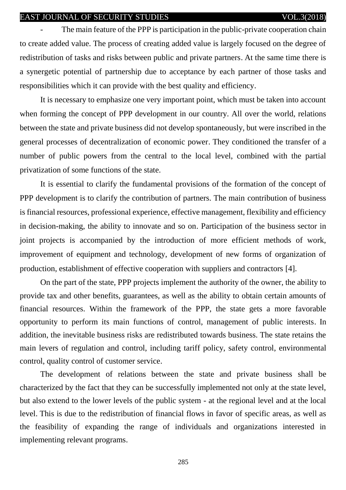The main feature of the PPP is participation in the public-private cooperation chain to create added value. The process of creating added value is largely focused on the degree of redistribution of tasks and risks between public and private partners. At the same time there is a synergetic potential of partnership due to acceptance by each partner of those tasks and responsibilities which it can provide with the best quality and efficiency.

It is necessary to emphasize one very important point, which must be taken into account when forming the concept of PPP development in our country. All over the world, relations between the state and private business did not develop spontaneously, but were inscribed in the general processes of decentralization of economic power. They conditioned the transfer of a number of public powers from the central to the local level, combined with the partial privatization of some functions of the state.

It is essential to clarify the fundamental provisions of the formation of the concept of PPP development is to clarify the contribution of partners. The main contribution of business is financial resources, professional experience, effective management, flexibility and efficiency in decision-making, the ability to innovate and so on. Participation of the business sector in joint projects is accompanied by the introduction of more efficient methods of work, improvement of equipment and technology, development of new forms of organization of production, establishment of effective cooperation with suppliers and contractors [4].

On the part of the state, PPP projects implement the authority of the owner, the ability to provide tax and other benefits, guarantees, as well as the ability to obtain certain amounts of financial resources. Within the framework of the PPP, the state gets a more favorable opportunity to perform its main functions of control, management of public interests. In addition, the inevitable business risks are redistributed towards business. The state retains the main levers of regulation and control, including tariff policy, safety control, environmental control, quality control of customer service.

The development of relations between the state and private business shall be characterized by the fact that they can be successfully implemented not only at the state level, but also extend to the lower levels of the public system - at the regional level and at the local level. This is due to the redistribution of financial flows in favor of specific areas, as well as the feasibility of expanding the range of individuals and organizations interested in implementing relevant programs.

285